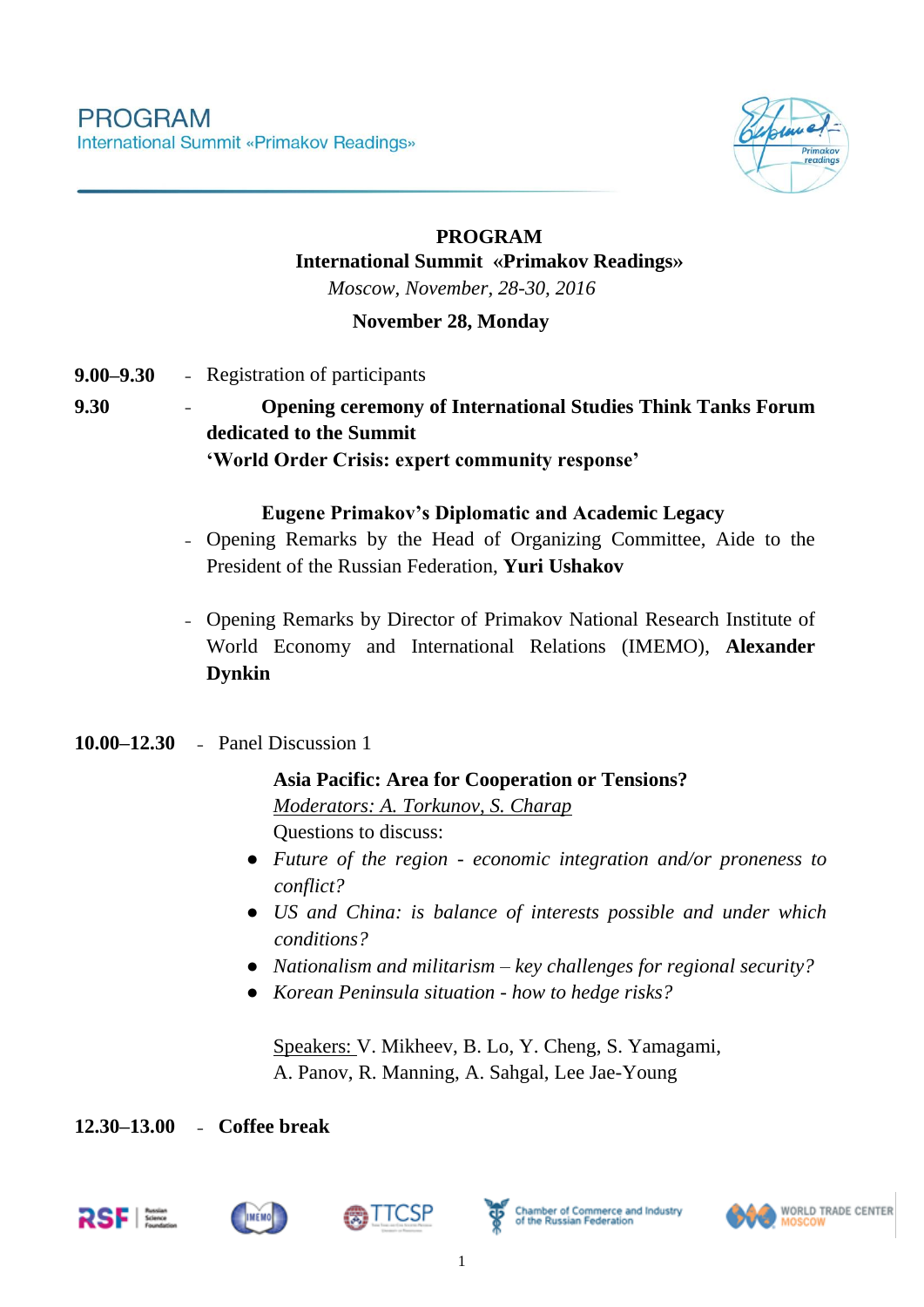

### **PROGRAM International Summit «Primakov Readings»** *Moscow, November, 28-30, 2016*

### **November 28, Monday**

- **9.00–9.30** Registration of participants
- **9.30 - Opening ceremony of International Studies Think Tanks Forum dedicated to the Summit 'World Order Crisis: expert community response'**

#### **Eugene Primakov's Diplomatic and Academic Legacy**

- Opening Remarks by the Head of Organizing Committee, Aide to the President of the Russian Federation, **Yuri Ushakov**
- Opening Remarks by Director of Primakov National Research Institute of World Economy and International Relations (IMEMO), **Alexander Dynkin**

### **10.00–12.30** - Panel Discussion 1

#### **Asia Pacific: Area for Cooperation or Tensions?**

*Moderators: A. Torkunov, S. Charap* Questions to discuss:

- *Future of the region - economic integration and/or proneness to conflict?*
- *US and China: is balance of interests possible and under which conditions?*
- *Nationalism and militarism – key challenges for regional security?*
- *Korean Peninsula situation - how to hedge risks?*

Speakers: V. Mikheev, B. Lo, Y. Cheng, S. Yamagami, A. Panov, R. Manning, A. Sahgal, Lee Jae-Young

**12.30–13.00** - **Coffee break**









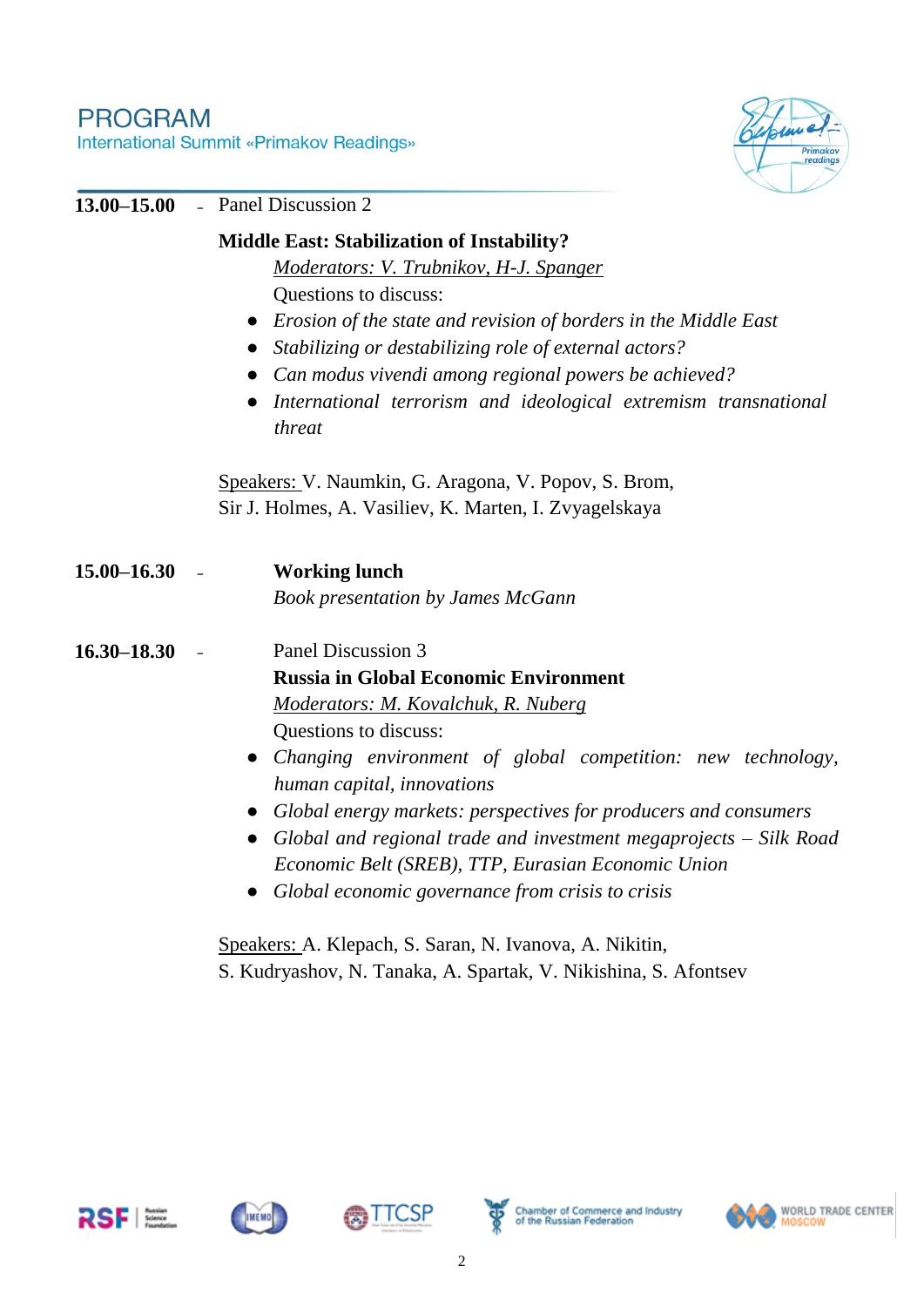# **PROGRAM** International Summit «Primakov Readings»



| 13.00 - 15.00   | - Panel Discussion 2                                                      |
|-----------------|---------------------------------------------------------------------------|
|                 | <b>Middle East: Stabilization of Instability?</b>                         |
|                 | Moderators: V. Trubnikov, H-J. Spanger                                    |
|                 | Questions to discuss:                                                     |
|                 | Erosion of the state and revision of borders in the Middle East           |
|                 | Stabilizing or destabilizing role of external actors?                     |
|                 | Can modus vivendi among regional powers be achieved?                      |
|                 | International terrorism and ideological extremism transnational<br>threat |
|                 | Speakers: V. Naumkin, G. Aragona, V. Popov, S. Brom,                      |
|                 | Sir J. Holmes, A. Vasiliev, K. Marten, I. Zvyagelskaya                    |
| $15.00 - 16.30$ | <b>Working lunch</b>                                                      |
|                 | <b>Book presentation by James McGann</b>                                  |
| $16.30 - 18.30$ | Panel Discussion 3                                                        |
|                 | <b>Russia in Global Economic Environment</b>                              |
|                 | Moderators: M. Kovalchuk, R. Nuberg                                       |
|                 | Questions to discuss:                                                     |
|                 | Changing environment of global competition: new technology,               |
|                 | human capital, innovations                                                |
|                 | Global energy markets: perspectives for producers and consumers           |
|                 | Global and regional trade and investment megaprojects $-$ Silk Road       |
|                 | Economic Belt (SREB), TTP, Eurasian Economic Union                        |
|                 | Global economic governance from crisis to crisis                          |
|                 | Speakers: A. Klepach, S. Saran, N. Ivanova, A. Nikitin,                   |
|                 | S. Kudryashov, N. Tanaka, A. Spartak, V. Nikishina, S. Afontsev           |









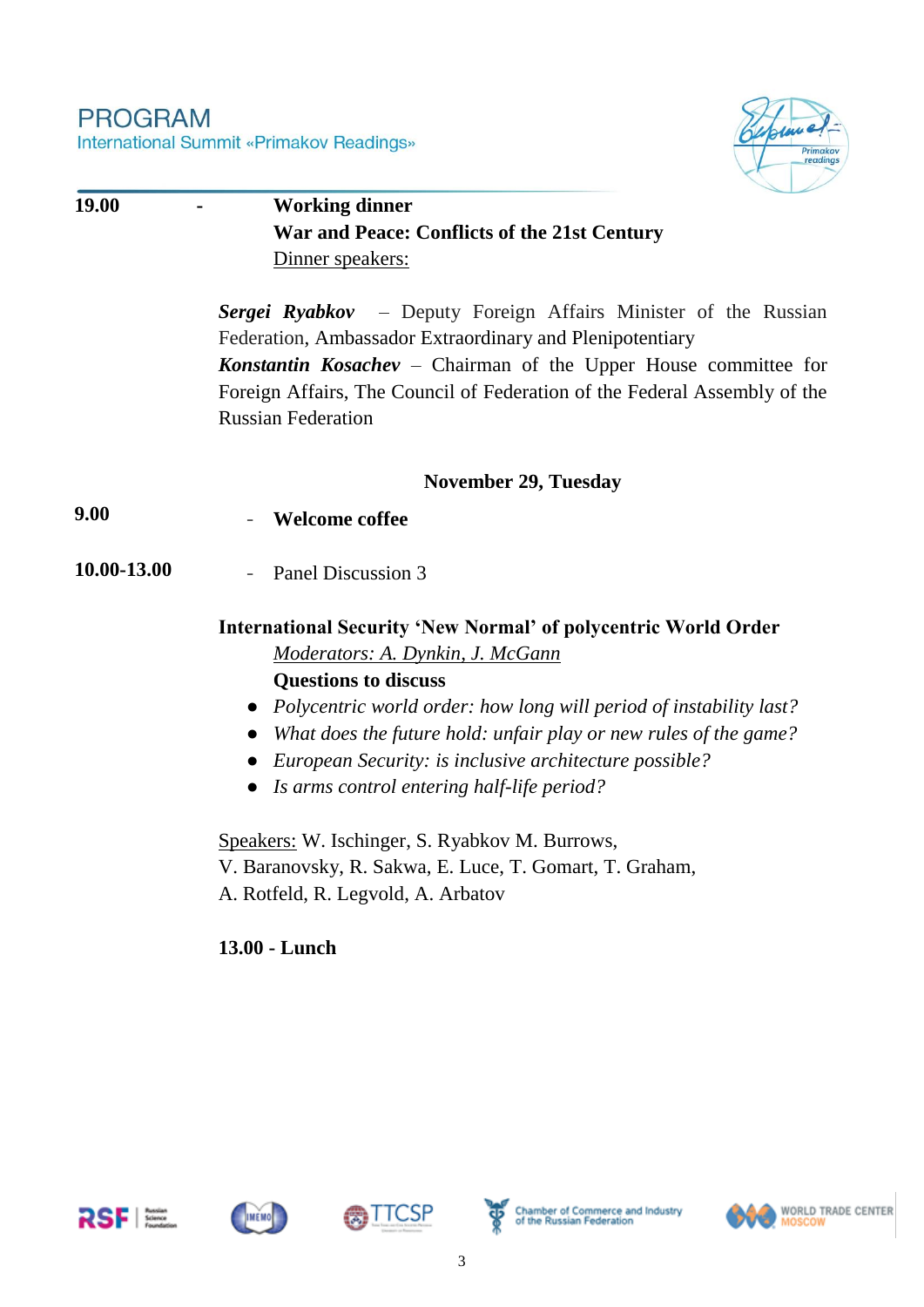### **PROGRAM** International Summit «Primakov Readings»



| 19.00       | <b>Working dinner</b>                                                                                                                                                                                                                                                                                           |
|-------------|-----------------------------------------------------------------------------------------------------------------------------------------------------------------------------------------------------------------------------------------------------------------------------------------------------------------|
|             | War and Peace: Conflicts of the 21st Century                                                                                                                                                                                                                                                                    |
|             | Dinner speakers:                                                                                                                                                                                                                                                                                                |
|             | <b>Sergei Ryabkov</b> – Deputy Foreign Affairs Minister of the Russian<br>Federation, Ambassador Extraordinary and Plenipotentiary<br>Konstantin Kosachev - Chairman of the Upper House committee for<br>Foreign Affairs, The Council of Federation of the Federal Assembly of the<br><b>Russian Federation</b> |
|             | <b>November 29, Tuesday</b>                                                                                                                                                                                                                                                                                     |
| 9.00        | <b>Welcome coffee</b>                                                                                                                                                                                                                                                                                           |
| 10.00-13.00 | Panel Discussion 3                                                                                                                                                                                                                                                                                              |
|             | <b>International Security 'New Normal' of polycentric World Order</b><br>Moderators: A. Dynkin, J. McGann                                                                                                                                                                                                       |
|             | <b>Questions to discuss</b>                                                                                                                                                                                                                                                                                     |
|             | • Polycentric world order: how long will period of instability last?<br>What does the future hold: unfair play or new rules of the game?<br>$\bullet$<br>• European Security: is inclusive architecture possible?<br>• Is arms control entering half-life period?                                               |
|             | Speakers: W. Ischinger, S. Ryabkov M. Burrows,<br>V. Baranovsky, R. Sakwa, E. Luce, T. Gomart, T. Graham,<br>A. Rotfeld, R. Legvold, A. Arbatov                                                                                                                                                                 |
|             |                                                                                                                                                                                                                                                                                                                 |

# **13.00 - Lunch**









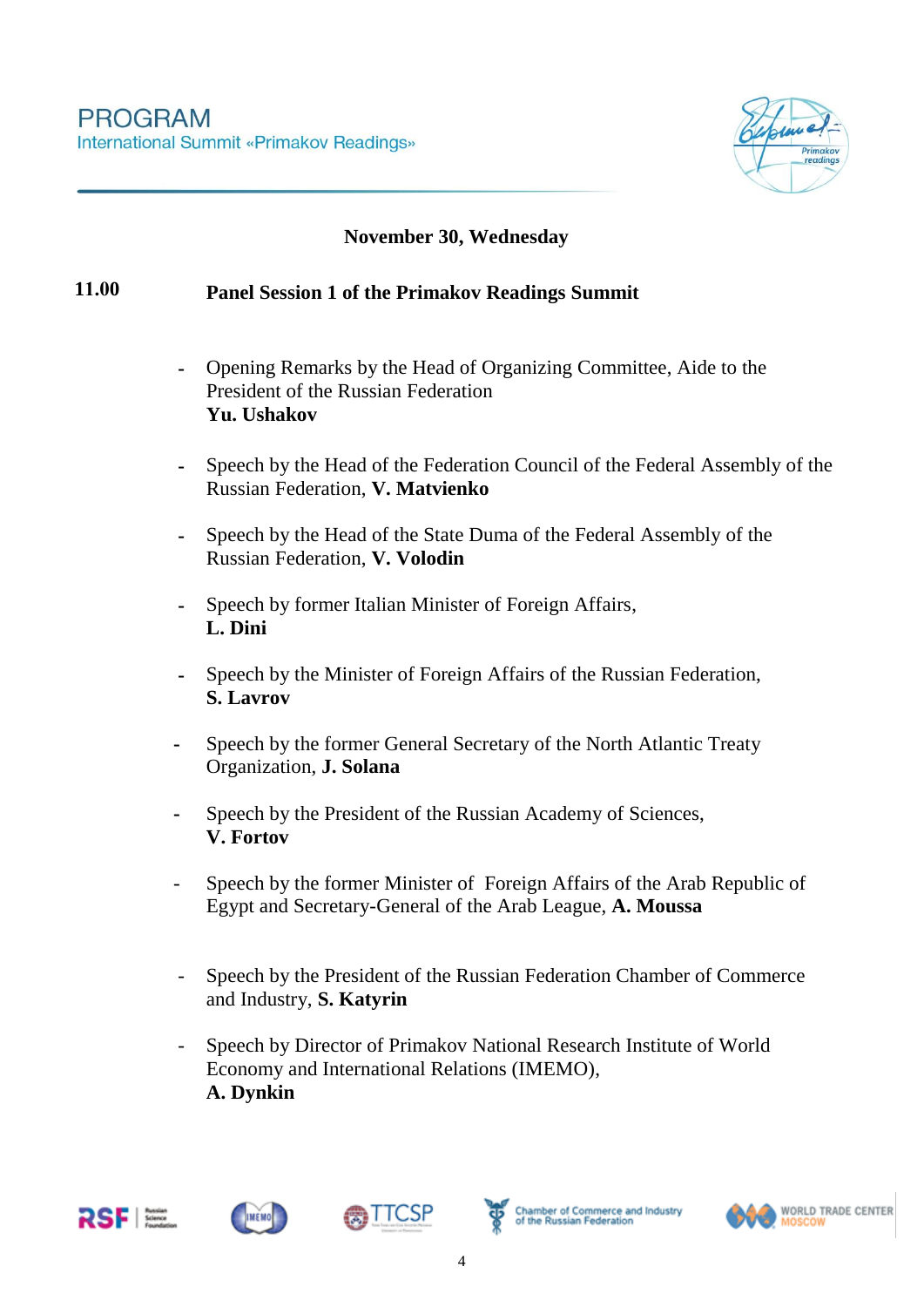

### **November 30, Wednesday**

### **11.00 Panel Session 1 of the Primakov Readings Summit**

- **-** Opening Remarks by the Head of Organizing Committee, Aide to the President of the Russian Federation **Yu. Ushakov**
- **-** Speech by the Head of the Federation Council of the Federal Assembly of the Russian Federation, **V. Matvienko**
- **-** Speech by the Head of the State Duma of the Federal Assembly of the Russian Federation, **V. Volodin**
- **-** Speech by former Italian Minister of Foreign Affairs, **L. Dini**
- **-** Speech by the Minister of Foreign Affairs of the Russian Federation, **S. Lavrov**
- **-** Speech by the former General Secretary of the North Atlantic Treaty Organization, **J. Solana**
- **-** Speech by the President of the Russian Academy of Sciences, **V. Fortov**
- *-* Speech by the former Minister of Foreign Affairs of the Arab Republic of Egypt and Secretary-General of the Arab League, **A. Moussa**
- *-* Speech by the President of the Russian Federation Chamber of Commerce and Industry, **S. Katyrin**
- *-* Speech by Director of Primakov National Research Institute of World Economy and International Relations (IMEMO), **A. Dynkin**